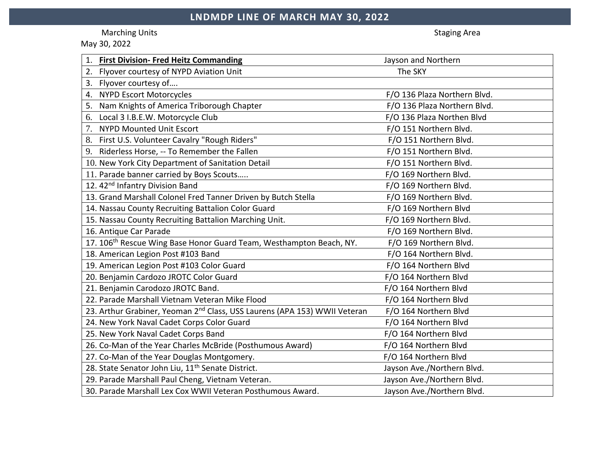Marching Units **Staging Area** and Staging Area and Staging Area and Staging Area and Staging Area and Staging Area

May 30, 2022

| <b>First Division- Fred Heitz Commanding</b>                                          | Jayson and Northern          |
|---------------------------------------------------------------------------------------|------------------------------|
| Flyover courtesy of NYPD Aviation Unit<br>2.                                          | The SKY                      |
| Flyover courtesy of<br>3.                                                             |                              |
| <b>NYPD Escort Motorcycles</b><br>4.                                                  | F/O 136 Plaza Northern Blvd. |
| Nam Knights of America Triborough Chapter<br>5.                                       | F/O 136 Plaza Northern Blvd. |
| Local 3 I.B.E.W. Motorcycle Club<br>6.                                                | F/O 136 Plaza Northen Blvd   |
| <b>NYPD Mounted Unit Escort</b><br>7.                                                 | F/O 151 Northern Blvd.       |
| First U.S. Volunteer Cavalry "Rough Riders"<br>8.                                     | F/O 151 Northern Blvd.       |
| Riderless Horse, -- To Remember the Fallen<br>9.                                      | F/O 151 Northern Blvd.       |
| 10. New York City Department of Sanitation Detail                                     | F/O 151 Northern Blvd.       |
| 11. Parade banner carried by Boys Scouts                                              | F/O 169 Northern Blvd.       |
| 12. 42 <sup>nd</sup> Infantry Division Band                                           | F/O 169 Northern Blvd.       |
| 13. Grand Marshall Colonel Fred Tanner Driven by Butch Stella                         | F/O 169 Northern Blvd.       |
| 14. Nassau County Recruiting Battalion Color Guard                                    | F/O 169 Northern Blvd        |
| 15. Nassau County Recruiting Battalion Marching Unit.                                 | F/O 169 Northern Blvd.       |
| 16. Antique Car Parade                                                                | F/O 169 Northern Blvd.       |
| 17. 106 <sup>th</sup> Rescue Wing Base Honor Guard Team, Westhampton Beach, NY.       | F/O 169 Northern Blvd.       |
| 18. American Legion Post #103 Band                                                    | F/O 164 Northern Blvd.       |
| 19. American Legion Post #103 Color Guard                                             | F/O 164 Northern Blvd        |
| 20. Benjamin Cardozo JROTC Color Guard                                                | F/O 164 Northern Blvd        |
| 21. Benjamin Carodozo JROTC Band.                                                     | F/O 164 Northern Blvd        |
| 22. Parade Marshall Vietnam Veteran Mike Flood                                        | F/O 164 Northern Blvd        |
| 23. Arthur Grabiner, Yeoman 2 <sup>nd</sup> Class, USS Laurens (APA 153) WWII Veteran | F/O 164 Northern Blvd        |
| 24. New York Naval Cadet Corps Color Guard                                            | F/O 164 Northern Blvd        |
| 25. New York Naval Cadet Corps Band                                                   | F/O 164 Northern Blvd        |
| 26. Co-Man of the Year Charles McBride (Posthumous Award)                             | F/O 164 Northern Blvd        |
| 27. Co-Man of the Year Douglas Montgomery.                                            | F/O 164 Northern Blvd        |
| 28. State Senator John Liu, 11 <sup>th</sup> Senate District.                         | Jayson Ave./Northern Blvd.   |
| 29. Parade Marshall Paul Cheng, Vietnam Veteran.                                      | Jayson Ave./Northern Blvd.   |
| 30. Parade Marshall Lex Cox WWII Veteran Posthumous Award.                            | Jayson Ave./Northern Blvd.   |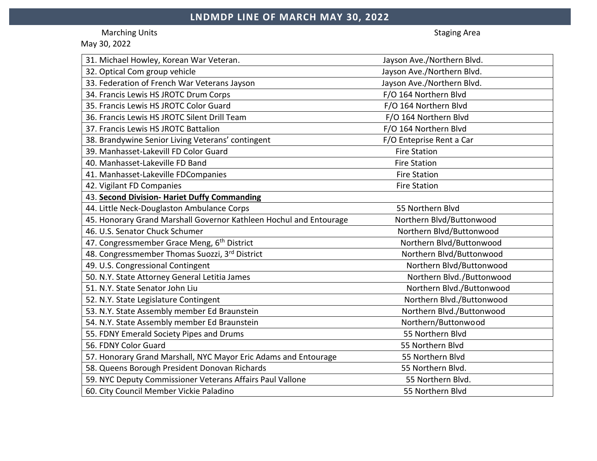Marching Units **Staging Area** and Staging Area and Staging Area and Staging Area and Staging Area and Staging Area

May 30, 2022

| 31. Michael Howley, Korean War Veteran.                            | Jayson Ave./Northern Blvd. |
|--------------------------------------------------------------------|----------------------------|
| 32. Optical Com group vehicle                                      | Jayson Ave./Northern Blvd. |
| 33. Federation of French War Veterans Jayson                       | Jayson Ave./Northern Blvd. |
| 34. Francis Lewis HS JROTC Drum Corps                              | F/O 164 Northern Blvd      |
| 35. Francis Lewis HS JROTC Color Guard                             | F/O 164 Northern Blvd      |
| 36. Francis Lewis HS JROTC Silent Drill Team                       | F/O 164 Northern Blvd      |
| 37. Francis Lewis HS JROTC Battalion                               | F/O 164 Northern Blvd      |
| 38. Brandywine Senior Living Veterans' contingent                  | F/O Enteprise Rent a Car   |
| 39. Manhasset-Lakevill FD Color Guard                              | <b>Fire Station</b>        |
| 40. Manhasset-Lakeville FD Band                                    | <b>Fire Station</b>        |
| 41. Manhasset-Lakeville FDCompanies                                | <b>Fire Station</b>        |
| 42. Vigilant FD Companies                                          | <b>Fire Station</b>        |
| 43. Second Division- Hariet Duffy Commanding                       |                            |
| 44. Little Neck-Douglaston Ambulance Corps                         | 55 Northern Blvd           |
| 45. Honorary Grand Marshall Governor Kathleen Hochul and Entourage | Northern Blvd/Buttonwood   |
| 46. U.S. Senator Chuck Schumer                                     | Northern Blvd/Buttonwood   |
| 47. Congressmember Grace Meng, 6th District                        | Northern Blvd/Buttonwood   |
| 48. Congressmember Thomas Suozzi, 3rd District                     | Northern Blvd/Buttonwood   |
| 49. U.S. Congressional Contingent                                  | Northern Blvd/Buttonwood   |
| 50. N.Y. State Attorney General Letitia James                      | Northern Blvd./Buttonwood  |
| 51. N.Y. State Senator John Liu                                    | Northern Blvd./Buttonwood  |
| 52. N.Y. State Legislature Contingent                              | Northern Blvd./Buttonwood  |
| 53. N.Y. State Assembly member Ed Braunstein                       | Northern Blvd./Buttonwood  |
| 54. N.Y. State Assembly member Ed Braunstein                       | Northern/Buttonwood        |
| 55. FDNY Emerald Society Pipes and Drums                           | 55 Northern Blvd           |
| 56. FDNY Color Guard                                               | 55 Northern Blvd           |
| 57. Honorary Grand Marshall, NYC Mayor Eric Adams and Entourage    | 55 Northern Blvd           |
| 58. Queens Borough President Donovan Richards                      | 55 Northern Blvd.          |
| 59. NYC Deputy Commissioner Veterans Affairs Paul Vallone          | 55 Northern Blvd.          |
| 60. City Council Member Vickie Paladino                            | 55 Northern Blvd           |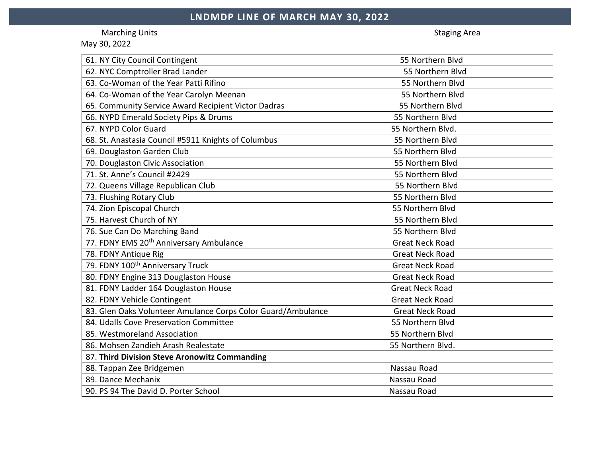Marching Units **Staging Area** and Staging Area and Staging Area and Staging Area and Staging Area and Staging Area

May 30, 2022

| 61. NY City Council Contingent                               | 55 Northern Blvd       |
|--------------------------------------------------------------|------------------------|
| 62. NYC Comptroller Brad Lander                              | 55 Northern Blvd       |
| 63. Co-Woman of the Year Patti Rifino                        | 55 Northern Blvd       |
| 64. Co-Woman of the Year Carolyn Meenan                      | 55 Northern Blvd       |
| 65. Community Service Award Recipient Victor Dadras          | 55 Northern Blvd       |
| 66. NYPD Emerald Society Pips & Drums                        | 55 Northern Blvd       |
| 67. NYPD Color Guard                                         | 55 Northern Blvd.      |
| 68. St. Anastasia Council #5911 Knights of Columbus          | 55 Northern Blvd       |
| 69. Douglaston Garden Club                                   | 55 Northern Blvd       |
| 70. Douglaston Civic Association                             | 55 Northern Blvd       |
| 71. St. Anne's Council #2429                                 | 55 Northern Blvd       |
| 72. Queens Village Republican Club                           | 55 Northern Blvd       |
| 73. Flushing Rotary Club                                     | 55 Northern Blvd       |
| 74. Zion Episcopal Church                                    | 55 Northern Blvd       |
| 75. Harvest Church of NY                                     | 55 Northern Blvd       |
| 76. Sue Can Do Marching Band                                 | 55 Northern Blvd       |
| 77. FDNY EMS 20 <sup>th</sup> Anniversary Ambulance          | <b>Great Neck Road</b> |
| 78. FDNY Antique Rig                                         | <b>Great Neck Road</b> |
| 79. FDNY 100 <sup>th</sup> Anniversary Truck                 | <b>Great Neck Road</b> |
| 80. FDNY Engine 313 Douglaston House                         | <b>Great Neck Road</b> |
| 81. FDNY Ladder 164 Douglaston House                         | <b>Great Neck Road</b> |
| 82. FDNY Vehicle Contingent                                  | <b>Great Neck Road</b> |
| 83. Glen Oaks Volunteer Amulance Corps Color Guard/Ambulance | <b>Great Neck Road</b> |
| 84. Udalls Cove Preservation Committee                       | 55 Northern Blvd       |
| 85. Westmoreland Association                                 | 55 Northern Blvd       |
| 86. Mohsen Zandieh Arash Realestate                          | 55 Northern Blvd.      |
| 87. Third Division Steve Aronowitz Commanding                |                        |
| 88. Tappan Zee Bridgemen                                     | Nassau Road            |
| 89. Dance Mechanix                                           | Nassau Road            |
| 90. PS 94 The David D. Porter School                         | Nassau Road            |